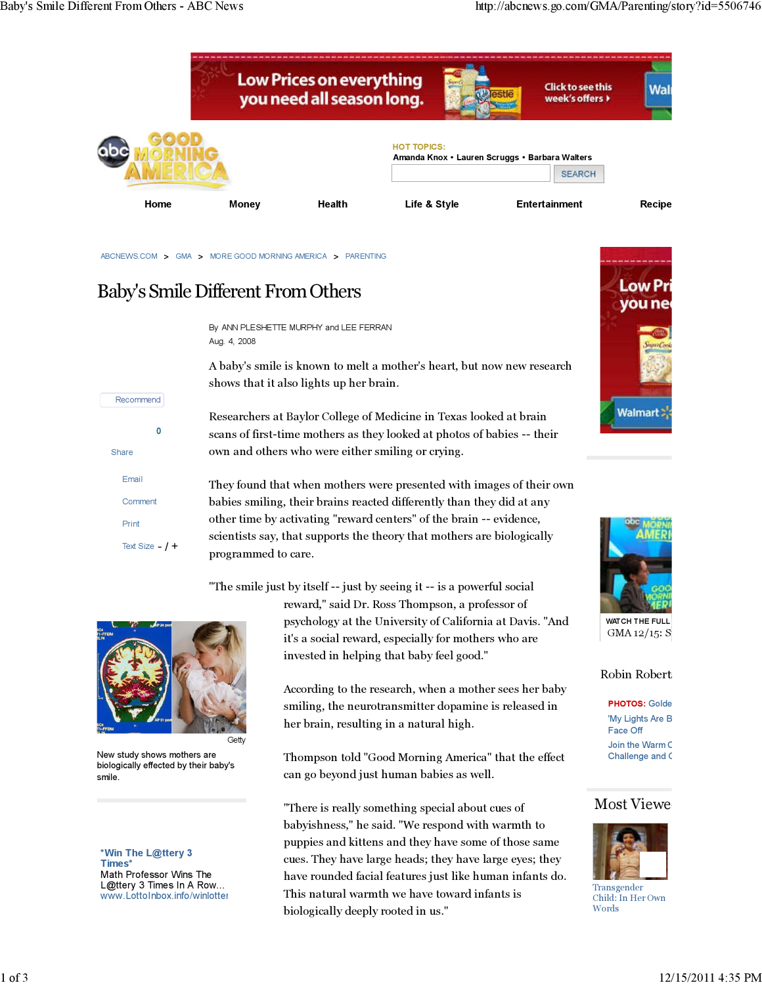

ABCNEWS.COM > GMA > MORE GOOD MORNING AMERICA > PARENTING

# Baby's Smile Different From Others

By ANN PLESHETTE MURPHY and LEE FERRAN Aug. 4, 2008

A baby's smile is known to melt a mother's heart, but now new research shows that it also lights up her brain.

Researchers at Baylor College of Medicine in Texas looked at brain scans of first-time mothers as they looked at photos of babies -- their own and others who were either smiling or crying.

They found that when mothers were presented with images of their own babies smiling, their brains reacted differently than they did at any other time by activating "reward centers" of the brain -- evidence, scientists say, that supports the theory that mothers are biologically programmed to care.

"The smile just by itself -- just by seeing it -- is a powerful social

0

Text Size  $-$  /  $+$ 

Share

Email **Comment** Print

Recommend

**Getty** 

New study shows mothers are biologically effected by their baby's smile.

\*Win The L@ttery 3 Times\* Math Professor Wins The L@ttery 3 Times In A Row... www.LottoInbox.info/winlotter

reward," said Dr. Ross Thompson, a professor of psychology at the University of California at Davis. "And it's a social reward, especially for mothers who are invested in helping that baby feel good."

According to the research, when a mother sees her baby smiling, the neurotransmitter dopamine is released in her brain, resulting in a natural high.

Thompson told "Good Morning America" that the effect can go beyond just human babies as well.

"There is really something special about cues of babyishness," he said. "We respond with warmth to puppies and kittens and they have some of those same cues. They have large heads; they have large eyes; they have rounded facial features just like human infants do. This natural warmth we have toward infants is biologically deeply rooted in us."





WATCH THE FULL  $GMA 12/15: S$ 

#### Robin Robert

**PHOTOS: Golde** 'My Lights Are B Face Off Join the Warm C Challenge and C

#### **Most Viewe**



**Transgender** Child: In Her Own Words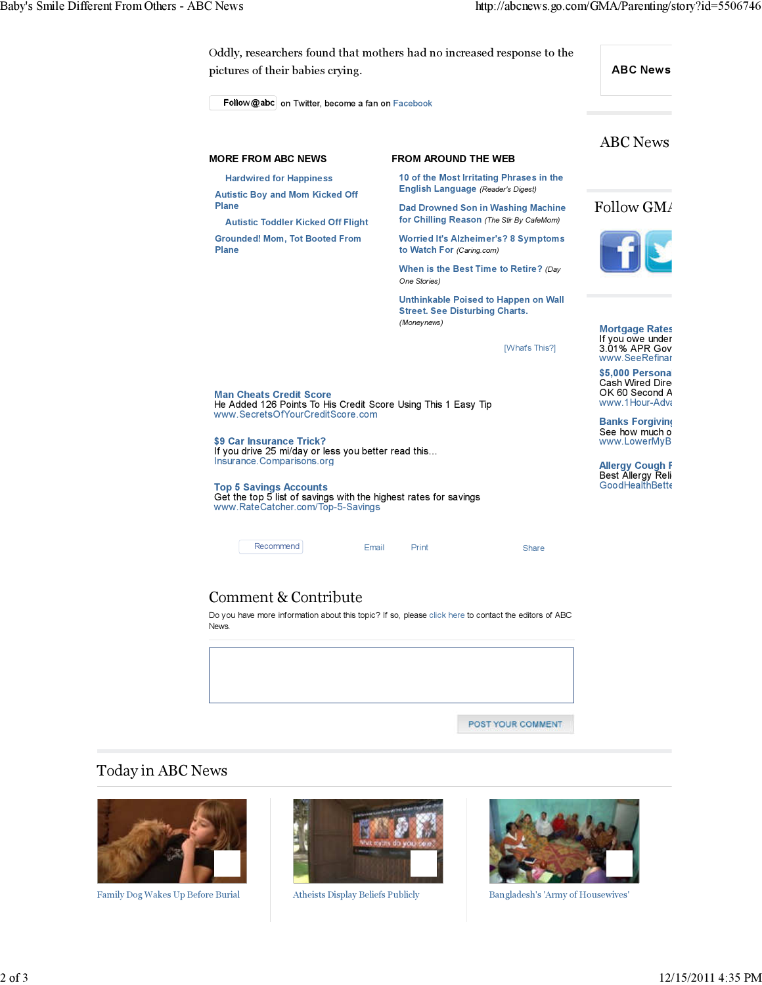

## Comment & Contribute

Do you have more information about this topic? If so, please click here to contact the editors of ABC News.

POST YOUR COMMENT

### Today in ABC News



Family Dog Wakes Up Before Burial Atheists Display Beliefs Publicly Bangladesh's 'Army of Housewives'